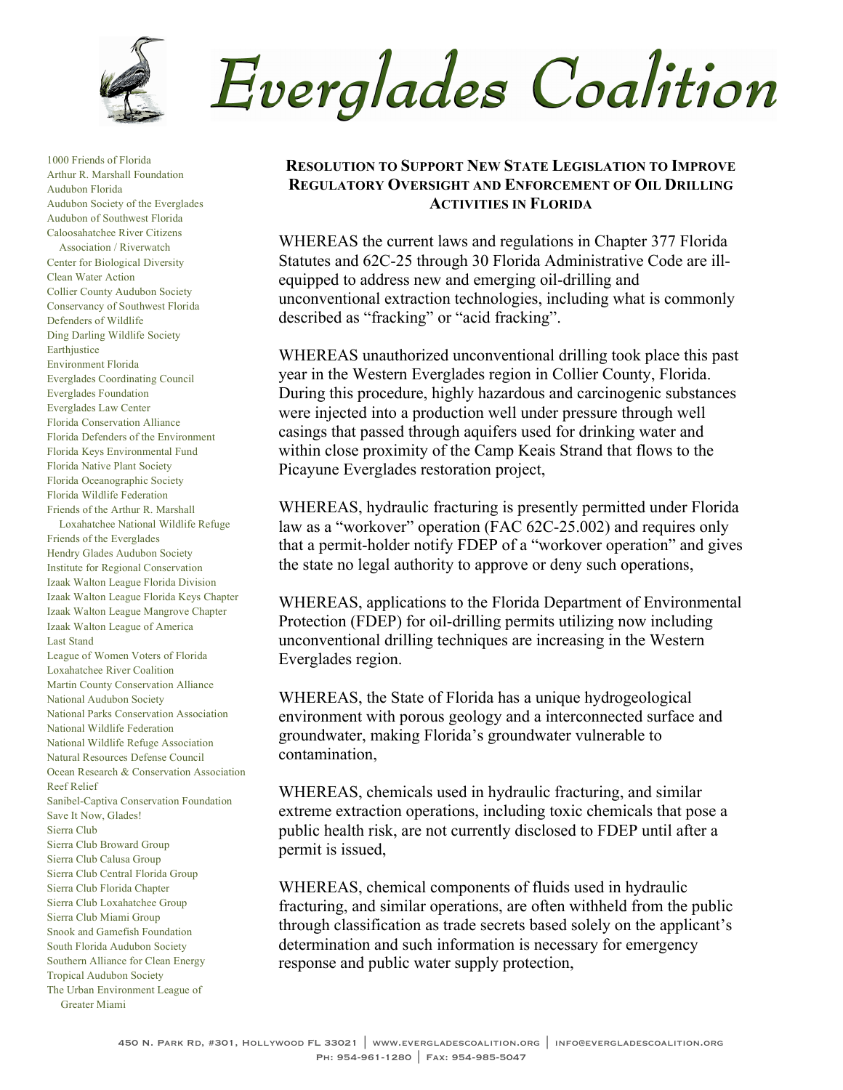

Everglades Coalition

1000 Friends of Florida Arthur R. Marshall Foundation Audubon Florida Audubon Society of the Everglades Audubon of Southwest Florida Caloosahatchee River Citizens Association / Riverwatch Center for Biological Diversity Clean Water Action Collier County Audubon Society Conservancy of Southwest Florida Defenders of Wildlife Ding Darling Wildlife Society Earthjustice Environment Florida Everglades Coordinating Council Everglades Foundation Everglades Law Center Florida Conservation Alliance Florida Defenders of the Environment Florida Keys Environmental Fund Florida Native Plant Society Florida Oceanographic Society Florida Wildlife Federation Friends of the Arthur R. Marshall

Loxahatchee National Wildlife Refuge Friends of the Everglades Hendry Glades Audubon Society Institute for Regional Conservation Izaak Walton League Florida Division Izaak Walton League Florida Keys Chapter Izaak Walton League Mangrove Chapter Izaak Walton League of America Last Stand League of Women Voters of Florida Loxahatchee River Coalition Martin County Conservation Alliance National Audubon Society National Parks Conservation Association National Wildlife Federation National Wildlife Refuge Association Natural Resources Defense Council Ocean Research & Conservation Association Reef Relief Sanibel-Captiva Conservation Foundation Save It Now, Glades! Sierra Club Sierra Club Broward Group Sierra Club Calusa Group Sierra Club Central Florida Group Sierra Club Florida Chapter Sierra Club Loxahatchee Group Sierra Club Miami Group Snook and Gamefish Foundation South Florida Audubon Society Southern Alliance for Clean Energy Tropical Audubon Society The Urban Environment League of Greater Miami

**RESOLUTION TO SUPPORT NEW STATE LEGISLATION TO IMPROVE REGULATORY OVERSIGHT AND ENFORCEMENT OF OIL DRILLING ACTIVITIES IN FLORIDA**

WHEREAS the current laws and regulations in Chapter 377 Florida Statutes and 62C-25 through 30 Florida Administrative Code are illequipped to address new and emerging oil-drilling and unconventional extraction technologies, including what is commonly described as "fracking" or "acid fracking".

WHEREAS unauthorized unconventional drilling took place this past year in the Western Everglades region in Collier County, Florida. During this procedure, highly hazardous and carcinogenic substances were injected into a production well under pressure through well casings that passed through aquifers used for drinking water and within close proximity of the Camp Keais Strand that flows to the Picayune Everglades restoration project,

WHEREAS, hydraulic fracturing is presently permitted under Florida law as a "workover" operation (FAC 62C-25.002) and requires only that a permit-holder notify FDEP of a "workover operation" and gives the state no legal authority to approve or deny such operations,

WHEREAS, applications to the Florida Department of Environmental Protection (FDEP) for oil-drilling permits utilizing now including unconventional drilling techniques are increasing in the Western Everglades region.

WHEREAS, the State of Florida has a unique hydrogeological environment with porous geology and a interconnected surface and groundwater, making Florida's groundwater vulnerable to contamination,

WHEREAS, chemicals used in hydraulic fracturing, and similar extreme extraction operations, including toxic chemicals that pose a public health risk, are not currently disclosed to FDEP until after a permit is issued,

WHEREAS, chemical components of fluids used in hydraulic fracturing, and similar operations, are often withheld from the public through classification as trade secrets based solely on the applicant's determination and such information is necessary for emergency response and public water supply protection,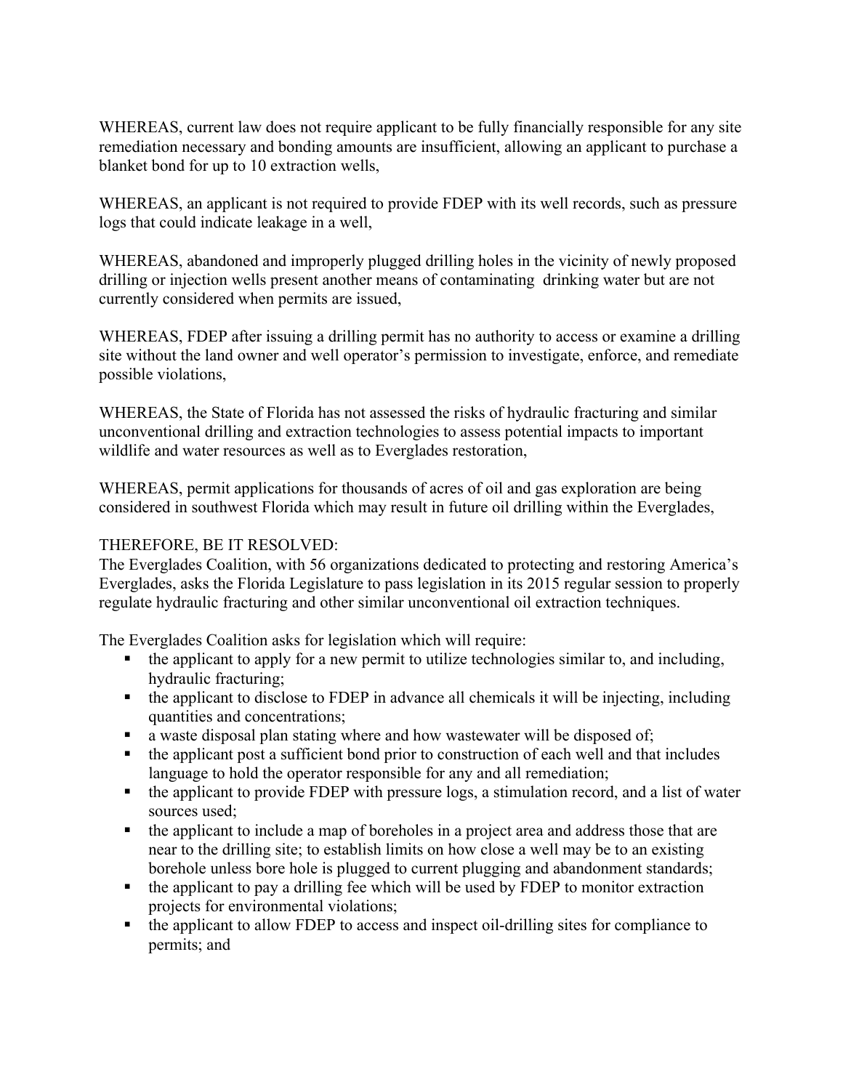WHEREAS, current law does not require applicant to be fully financially responsible for any site remediation necessary and bonding amounts are insufficient, allowing an applicant to purchase a blanket bond for up to 10 extraction wells,

WHEREAS, an applicant is not required to provide FDEP with its well records, such as pressure logs that could indicate leakage in a well,

WHEREAS, abandoned and improperly plugged drilling holes in the vicinity of newly proposed drilling or injection wells present another means of contaminating drinking water but are not currently considered when permits are issued,

WHEREAS, FDEP after issuing a drilling permit has no authority to access or examine a drilling site without the land owner and well operator's permission to investigate, enforce, and remediate possible violations,

WHEREAS, the State of Florida has not assessed the risks of hydraulic fracturing and similar unconventional drilling and extraction technologies to assess potential impacts to important wildlife and water resources as well as to Everglades restoration,

WHEREAS, permit applications for thousands of acres of oil and gas exploration are being considered in southwest Florida which may result in future oil drilling within the Everglades,

## THEREFORE, BE IT RESOLVED:

The Everglades Coalition, with 56 organizations dedicated to protecting and restoring America's Everglades, asks the Florida Legislature to pass legislation in its 2015 regular session to properly regulate hydraulic fracturing and other similar unconventional oil extraction techniques.

The Everglades Coalition asks for legislation which will require:

- the applicant to apply for a new permit to utilize technologies similar to, and including, hydraulic fracturing;
- the applicant to disclose to FDEP in advance all chemicals it will be injecting, including quantities and concentrations;
- a waste disposal plan stating where and how wastewater will be disposed of;
- the applicant post a sufficient bond prior to construction of each well and that includes language to hold the operator responsible for any and all remediation;
- the applicant to provide FDEP with pressure logs, a stimulation record, and a list of water sources used;
- the applicant to include a map of boreholes in a project area and address those that are near to the drilling site; to establish limits on how close a well may be to an existing borehole unless bore hole is plugged to current plugging and abandonment standards;
- the applicant to pay a drilling fee which will be used by FDEP to monitor extraction projects for environmental violations;
- the applicant to allow FDEP to access and inspect oil-drilling sites for compliance to permits; and